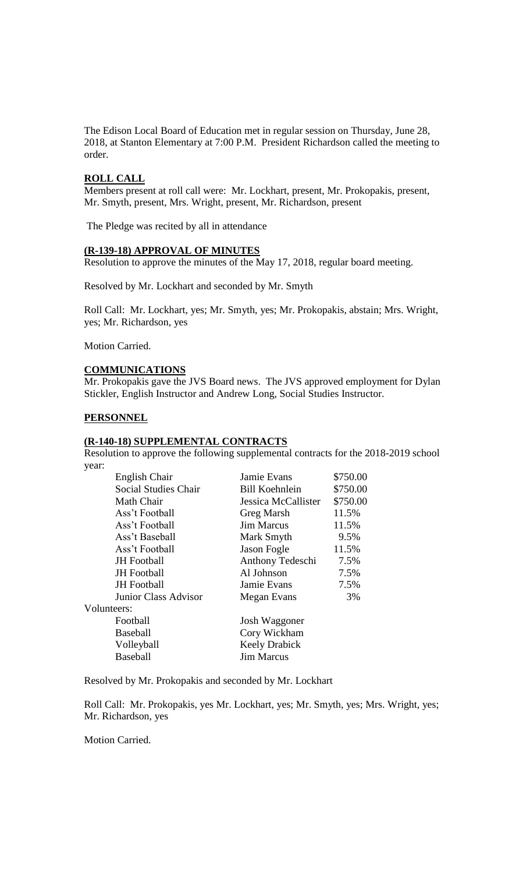The Edison Local Board of Education met in regular session on Thursday, June 28, 2018, at Stanton Elementary at 7:00 P.M. President Richardson called the meeting to order.

### **ROLL CALL**

Members present at roll call were: Mr. Lockhart, present, Mr. Prokopakis, present, Mr. Smyth, present, Mrs. Wright, present, Mr. Richardson, present

The Pledge was recited by all in attendance

### **(R-139-18) APPROVAL OF MINUTES**

Resolution to approve the minutes of the May 17, 2018, regular board meeting.

Resolved by Mr. Lockhart and seconded by Mr. Smyth

Roll Call: Mr. Lockhart, yes; Mr. Smyth, yes; Mr. Prokopakis, abstain; Mrs. Wright, yes; Mr. Richardson, yes

Motion Carried.

# **COMMUNICATIONS**

Mr. Prokopakis gave the JVS Board news. The JVS approved employment for Dylan Stickler, English Instructor and Andrew Long, Social Studies Instructor.

#### **PERSONNEL**

#### **(R-140-18) SUPPLEMENTAL CONTRACTS**

Resolution to approve the following supplemental contracts for the 2018-2019 school year:

| English Chair               | Jamie Evans           | \$750.00 |
|-----------------------------|-----------------------|----------|
| <b>Social Studies Chair</b> | <b>Bill Koehnlein</b> | \$750.00 |
| Math Chair                  | Jessica McCallister   | \$750.00 |
| Ass't Football              | <b>Greg Marsh</b>     | 11.5%    |
| Ass't Football              | <b>Jim Marcus</b>     | 11.5%    |
| Ass't Baseball              | Mark Smyth            | 9.5%     |
| Ass't Football              | Jason Fogle           | 11.5%    |
| <b>JH</b> Football          | Anthony Tedeschi      | 7.5%     |
| <b>JH</b> Football          | Al Johnson            | 7.5%     |
| <b>JH</b> Football          | Jamie Evans           | 7.5%     |
| Junior Class Advisor        | Megan Evans           | 3%       |
| Volunteers:                 |                       |          |
| Football                    | Josh Waggoner         |          |
| <b>Baseball</b>             | Cory Wickham          |          |
| Volleyball                  | <b>Keely Drabick</b>  |          |
| <b>Baseball</b>             | <b>Jim Marcus</b>     |          |
|                             |                       |          |

Resolved by Mr. Prokopakis and seconded by Mr. Lockhart

Roll Call: Mr. Prokopakis, yes Mr. Lockhart, yes; Mr. Smyth, yes; Mrs. Wright, yes; Mr. Richardson, yes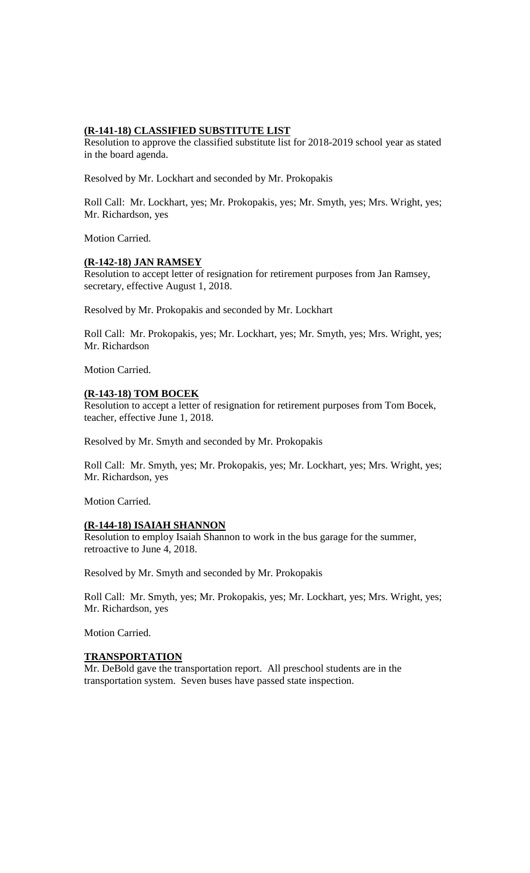### **(R-141-18) CLASSIFIED SUBSTITUTE LIST**

Resolution to approve the classified substitute list for 2018-2019 school year as stated in the board agenda.

Resolved by Mr. Lockhart and seconded by Mr. Prokopakis

Roll Call: Mr. Lockhart, yes; Mr. Prokopakis, yes; Mr. Smyth, yes; Mrs. Wright, yes; Mr. Richardson, yes

Motion Carried.

# **(R-142-18) JAN RAMSEY**

Resolution to accept letter of resignation for retirement purposes from Jan Ramsey, secretary, effective August 1, 2018.

Resolved by Mr. Prokopakis and seconded by Mr. Lockhart

Roll Call: Mr. Prokopakis, yes; Mr. Lockhart, yes; Mr. Smyth, yes; Mrs. Wright, yes; Mr. Richardson

Motion Carried.

### **(R-143-18) TOM BOCEK**

Resolution to accept a letter of resignation for retirement purposes from Tom Bocek, teacher, effective June 1, 2018.

Resolved by Mr. Smyth and seconded by Mr. Prokopakis

Roll Call: Mr. Smyth, yes; Mr. Prokopakis, yes; Mr. Lockhart, yes; Mrs. Wright, yes; Mr. Richardson, yes

Motion Carried.

#### **(R-144-18) ISAIAH SHANNON**

Resolution to employ Isaiah Shannon to work in the bus garage for the summer, retroactive to June 4, 2018.

Resolved by Mr. Smyth and seconded by Mr. Prokopakis

Roll Call: Mr. Smyth, yes; Mr. Prokopakis, yes; Mr. Lockhart, yes; Mrs. Wright, yes; Mr. Richardson, yes

Motion Carried.

#### **TRANSPORTATION**

Mr. DeBold gave the transportation report. All preschool students are in the transportation system. Seven buses have passed state inspection.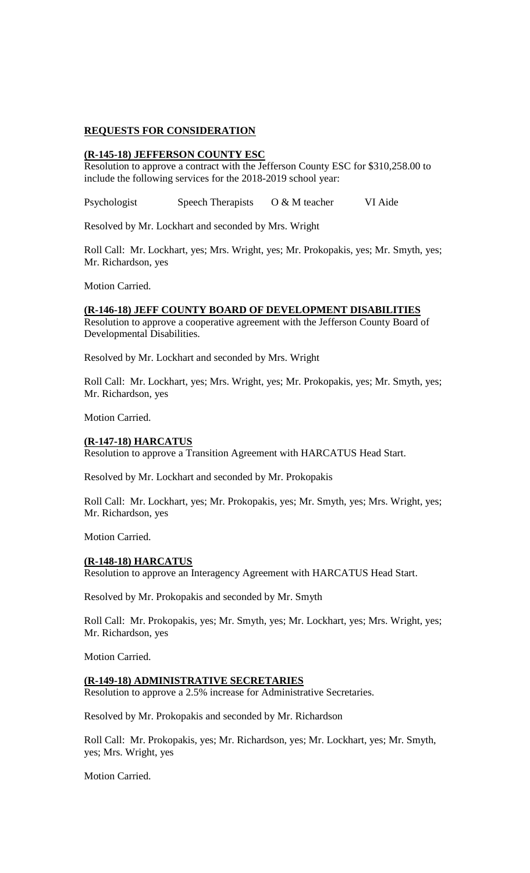### **REQUESTS FOR CONSIDERATION**

### **(R-145-18) JEFFERSON COUNTY ESC**

Resolution to approve a contract with the Jefferson County ESC for \$310,258.00 to include the following services for the 2018-2019 school year:

Psychologist Speech Therapists O & M teacher VI Aide

Resolved by Mr. Lockhart and seconded by Mrs. Wright

Roll Call: Mr. Lockhart, yes; Mrs. Wright, yes; Mr. Prokopakis, yes; Mr. Smyth, yes; Mr. Richardson, yes

Motion Carried.

# **(R-146-18) JEFF COUNTY BOARD OF DEVELOPMENT DISABILITIES**

Resolution to approve a cooperative agreement with the Jefferson County Board of Developmental Disabilities.

Resolved by Mr. Lockhart and seconded by Mrs. Wright

Roll Call: Mr. Lockhart, yes; Mrs. Wright, yes; Mr. Prokopakis, yes; Mr. Smyth, yes; Mr. Richardson, yes

Motion Carried.

#### **(R-147-18) HARCATUS**

Resolution to approve a Transition Agreement with HARCATUS Head Start.

Resolved by Mr. Lockhart and seconded by Mr. Prokopakis

Roll Call: Mr. Lockhart, yes; Mr. Prokopakis, yes; Mr. Smyth, yes; Mrs. Wright, yes; Mr. Richardson, yes

Motion Carried.

#### **(R-148-18) HARCATUS**

Resolution to approve an Interagency Agreement with HARCATUS Head Start.

Resolved by Mr. Prokopakis and seconded by Mr. Smyth

Roll Call: Mr. Prokopakis, yes; Mr. Smyth, yes; Mr. Lockhart, yes; Mrs. Wright, yes; Mr. Richardson, yes

Motion Carried.

#### **(R-149-18) ADMINISTRATIVE SECRETARIES**

Resolution to approve a 2.5% increase for Administrative Secretaries.

Resolved by Mr. Prokopakis and seconded by Mr. Richardson

Roll Call: Mr. Prokopakis, yes; Mr. Richardson, yes; Mr. Lockhart, yes; Mr. Smyth, yes; Mrs. Wright, yes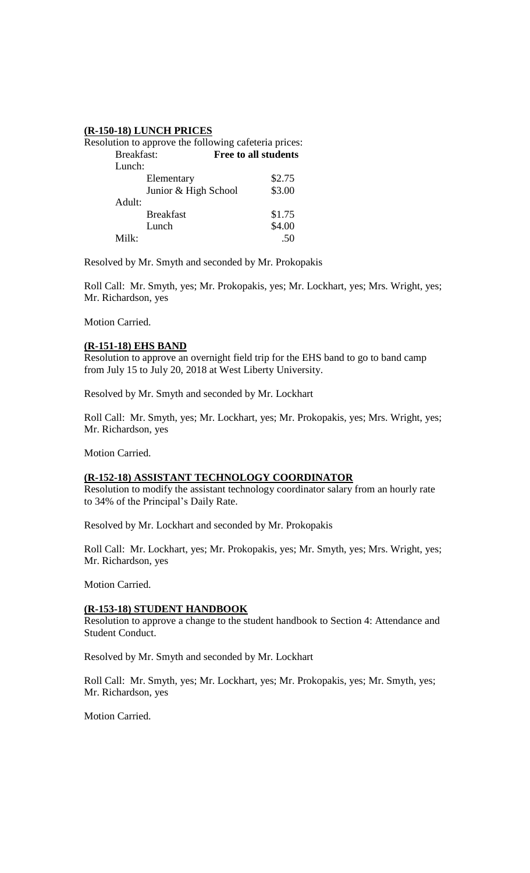### **(R-150-18) LUNCH PRICES**

| Resolution to approve the following cafeteria prices: |                             |
|-------------------------------------------------------|-----------------------------|
| Breakfast:                                            | <b>Free to all students</b> |
| Lunch:                                                |                             |
| Elementary                                            | \$2.75                      |
| Junior & High School                                  | \$3.00                      |
| Adult:                                                |                             |
| <b>Breakfast</b>                                      | \$1.75                      |
| Lunch                                                 | \$4.00                      |
| Milk:                                                 | .50                         |

Resolved by Mr. Smyth and seconded by Mr. Prokopakis

Roll Call: Mr. Smyth, yes; Mr. Prokopakis, yes; Mr. Lockhart, yes; Mrs. Wright, yes; Mr. Richardson, yes

Motion Carried.

#### **(R-151-18) EHS BAND**

Resolution to approve an overnight field trip for the EHS band to go to band camp from July 15 to July 20, 2018 at West Liberty University.

Resolved by Mr. Smyth and seconded by Mr. Lockhart

Roll Call: Mr. Smyth, yes; Mr. Lockhart, yes; Mr. Prokopakis, yes; Mrs. Wright, yes; Mr. Richardson, yes

Motion Carried.

### **(R-152-18) ASSISTANT TECHNOLOGY COORDINATOR**

Resolution to modify the assistant technology coordinator salary from an hourly rate to 34% of the Principal's Daily Rate.

Resolved by Mr. Lockhart and seconded by Mr. Prokopakis

Roll Call: Mr. Lockhart, yes; Mr. Prokopakis, yes; Mr. Smyth, yes; Mrs. Wright, yes; Mr. Richardson, yes

Motion Carried.

#### **(R-153-18) STUDENT HANDBOOK**

Resolution to approve a change to the student handbook to Section 4: Attendance and Student Conduct.

Resolved by Mr. Smyth and seconded by Mr. Lockhart

Roll Call: Mr. Smyth, yes; Mr. Lockhart, yes; Mr. Prokopakis, yes; Mr. Smyth, yes; Mr. Richardson, yes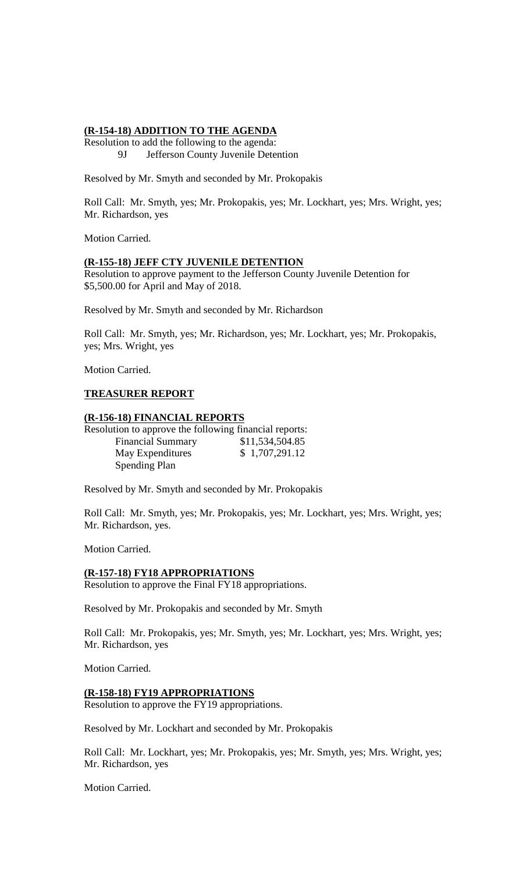### **(R-154-18) ADDITION TO THE AGENDA**

Resolution to add the following to the agenda: 9J Jefferson County Juvenile Detention

Resolved by Mr. Smyth and seconded by Mr. Prokopakis

Roll Call: Mr. Smyth, yes; Mr. Prokopakis, yes; Mr. Lockhart, yes; Mrs. Wright, yes; Mr. Richardson, yes

Motion Carried.

### **(R-155-18) JEFF CTY JUVENILE DETENTION**

Resolution to approve payment to the Jefferson County Juvenile Detention for \$5,500.00 for April and May of 2018.

Resolved by Mr. Smyth and seconded by Mr. Richardson

Roll Call: Mr. Smyth, yes; Mr. Richardson, yes; Mr. Lockhart, yes; Mr. Prokopakis, yes; Mrs. Wright, yes

Motion Carried.

# **TREASURER REPORT**

### **(R-156-18) FINANCIAL REPORTS**

Resolution to approve the following financial reports: Financial Summary \$11,534,504.85 May Expenditures \$ 1,707,291.12 Spending Plan

Resolved by Mr. Smyth and seconded by Mr. Prokopakis

Roll Call: Mr. Smyth, yes; Mr. Prokopakis, yes; Mr. Lockhart, yes; Mrs. Wright, yes; Mr. Richardson, yes.

Motion Carried.

# **(R-157-18) FY18 APPROPRIATIONS**

Resolution to approve the Final FY18 appropriations.

Resolved by Mr. Prokopakis and seconded by Mr. Smyth

Roll Call: Mr. Prokopakis, yes; Mr. Smyth, yes; Mr. Lockhart, yes; Mrs. Wright, yes; Mr. Richardson, yes

Motion Carried.

### **(R-158-18) FY19 APPROPRIATIONS**

Resolution to approve the FY19 appropriations.

Resolved by Mr. Lockhart and seconded by Mr. Prokopakis

Roll Call: Mr. Lockhart, yes; Mr. Prokopakis, yes; Mr. Smyth, yes; Mrs. Wright, yes; Mr. Richardson, yes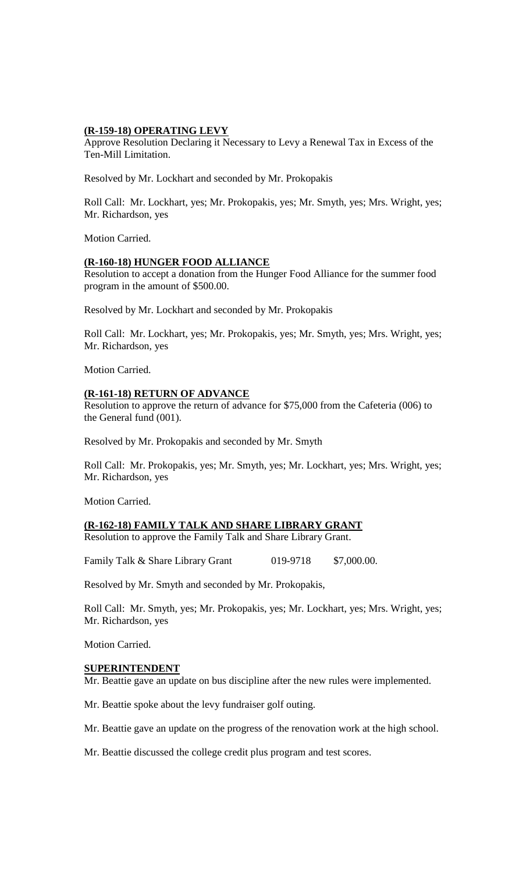### **(R-159-18) OPERATING LEVY**

Approve Resolution Declaring it Necessary to Levy a Renewal Tax in Excess of the Ten-Mill Limitation.

Resolved by Mr. Lockhart and seconded by Mr. Prokopakis

Roll Call: Mr. Lockhart, yes; Mr. Prokopakis, yes; Mr. Smyth, yes; Mrs. Wright, yes; Mr. Richardson, yes

Motion Carried.

### **(R-160-18) HUNGER FOOD ALLIANCE**

Resolution to accept a donation from the Hunger Food Alliance for the summer food program in the amount of \$500.00.

Resolved by Mr. Lockhart and seconded by Mr. Prokopakis

Roll Call: Mr. Lockhart, yes; Mr. Prokopakis, yes; Mr. Smyth, yes; Mrs. Wright, yes; Mr. Richardson, yes

Motion Carried.

# **(R-161-18) RETURN OF ADVANCE**

Resolution to approve the return of advance for \$75,000 from the Cafeteria (006) to the General fund (001).

Resolved by Mr. Prokopakis and seconded by Mr. Smyth

Roll Call: Mr. Prokopakis, yes; Mr. Smyth, yes; Mr. Lockhart, yes; Mrs. Wright, yes; Mr. Richardson, yes

Motion Carried.

# **(R-162-18) FAMILY TALK AND SHARE LIBRARY GRANT**

Resolution to approve the Family Talk and Share Library Grant.

Family Talk & Share Library Grant 019-9718 \$7,000.00.

Resolved by Mr. Smyth and seconded by Mr. Prokopakis,

Roll Call: Mr. Smyth, yes; Mr. Prokopakis, yes; Mr. Lockhart, yes; Mrs. Wright, yes; Mr. Richardson, yes

Motion Carried.

#### **SUPERINTENDENT**

Mr. Beattie gave an update on bus discipline after the new rules were implemented.

Mr. Beattie spoke about the levy fundraiser golf outing.

Mr. Beattie gave an update on the progress of the renovation work at the high school.

Mr. Beattie discussed the college credit plus program and test scores.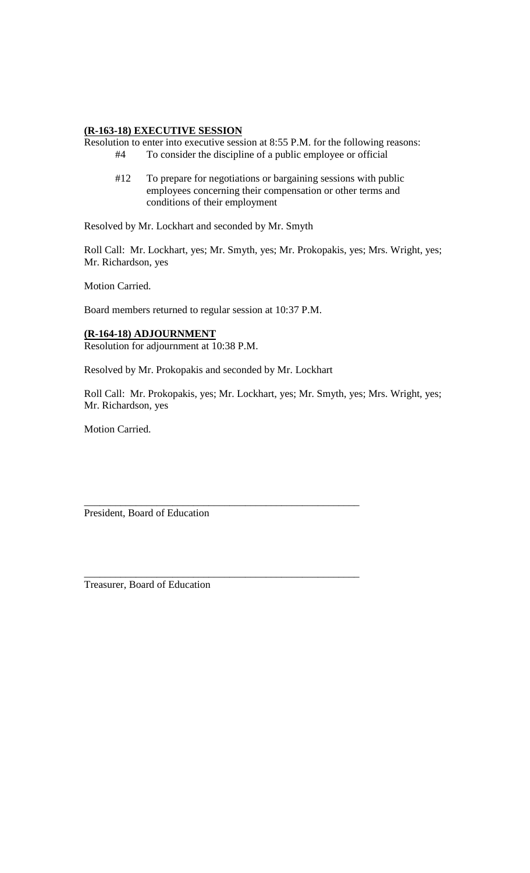### **(R-163-18) EXECUTIVE SESSION**

Resolution to enter into executive session at 8:55 P.M. for the following reasons: #4 To consider the discipline of a public employee or official

#12 To prepare for negotiations or bargaining sessions with public employees concerning their compensation or other terms and conditions of their employment

Resolved by Mr. Lockhart and seconded by Mr. Smyth

Roll Call: Mr. Lockhart, yes; Mr. Smyth, yes; Mr. Prokopakis, yes; Mrs. Wright, yes; Mr. Richardson, yes

Motion Carried.

Board members returned to regular session at 10:37 P.M.

### **(R-164-18) ADJOURNMENT**

Resolution for adjournment at 10:38 P.M.

Resolved by Mr. Prokopakis and seconded by Mr. Lockhart

\_\_\_\_\_\_\_\_\_\_\_\_\_\_\_\_\_\_\_\_\_\_\_\_\_\_\_\_\_\_\_\_\_\_\_\_\_\_\_\_\_\_\_\_\_\_\_\_\_\_\_\_\_

\_\_\_\_\_\_\_\_\_\_\_\_\_\_\_\_\_\_\_\_\_\_\_\_\_\_\_\_\_\_\_\_\_\_\_\_\_\_\_\_\_\_\_\_\_\_\_\_\_\_\_\_\_

Roll Call: Mr. Prokopakis, yes; Mr. Lockhart, yes; Mr. Smyth, yes; Mrs. Wright, yes; Mr. Richardson, yes

Motion Carried.

President, Board of Education

Treasurer, Board of Education